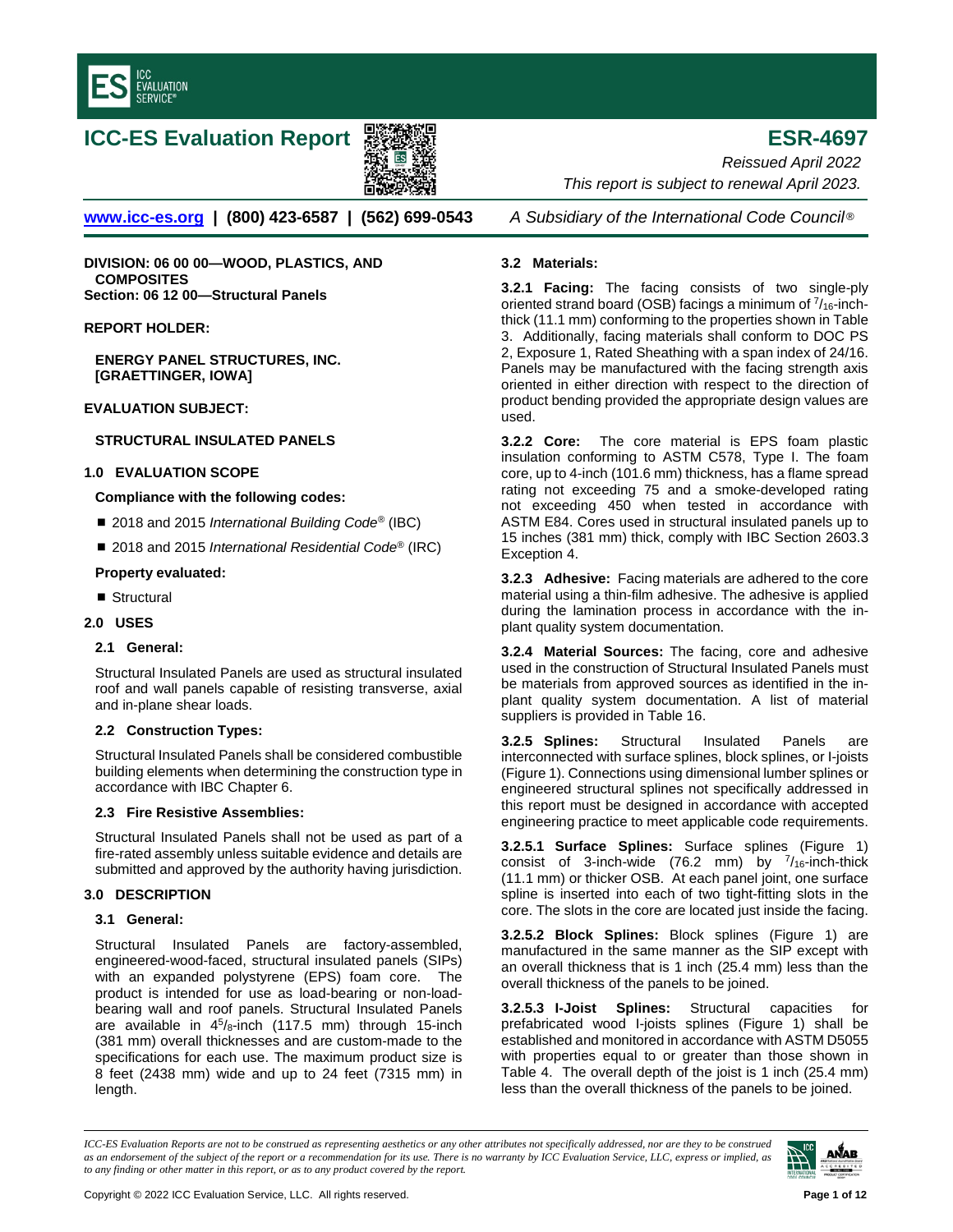

# **ICC-ES Evaluation Report ESR-4697**



**[www.icc-es.org](http://www.icc-es.org/) | (800) 423-6587 | (562) 699-0543** *A Subsidiary of the International Code Council* ®

**DIVISION: 06 00 00—WOOD, PLASTICS, AND COMPOSITES Section: 06 12 00—Structural Panels**

#### **REPORT HOLDER:**

**ENERGY PANEL STRUCTURES, INC. [GRAETTINGER, IOWA]**

## **EVALUATION SUBJECT:**

## **STRUCTURAL INSULATED PANELS**

## **1.0 EVALUATION SCOPE**

### **Compliance with the following codes:**

- 2018 and 2015 *International Building Code<sup>®</sup>* (IBC)
- 2018 and 2015 *International Residential Code<sup>®</sup>* (IRC)

#### **Property evaluated:**

- Structural
- **2.0 USES**

## **2.1 General:**

Structural Insulated Panels are used as structural insulated roof and wall panels capable of resisting transverse, axial and in-plane shear loads.

## **2.2 Construction Types:**

Structural Insulated Panels shall be considered combustible building elements when determining the construction type in accordance with IBC Chapter 6.

## **2.3 Fire Resistive Assemblies:**

Structural Insulated Panels shall not be used as part of a fire-rated assembly unless suitable evidence and details are submitted and approved by the authority having jurisdiction.

#### **3.0 DESCRIPTION**

#### **3.1 General:**

Structural Insulated Panels are factory-assembled, engineered-wood-faced, structural insulated panels (SIPs) with an expanded polystyrene (EPS) foam core. The product is intended for use as load-bearing or non-loadbearing wall and roof panels. Structural Insulated Panels are available in  $4^5$ /8-inch (117.5 mm) through 15-inch (381 mm) overall thicknesses and are custom-made to the specifications for each use. The maximum product size is 8 feet (2438 mm) wide and up to 24 feet (7315 mm) in length.

*Reissued April 2022 This report is subject to renewal April 2023.* 

### **3.2 Materials:**

**3.2.1 Facing:** The facing consists of two single-ply oriented strand board (OSB) facings a minimum of 7/16-inchthick (11.1 mm) conforming to the properties shown in Table 3. Additionally, facing materials shall conform to DOC PS 2, Exposure 1, Rated Sheathing with a span index of 24/16. Panels may be manufactured with the facing strength axis oriented in either direction with respect to the direction of product bending provided the appropriate design values are used.

**3.2.2 Core:** The core material is EPS foam plastic insulation conforming to ASTM C578, Type I. The foam core, up to 4-inch (101.6 mm) thickness, has a flame spread rating not exceeding 75 and a smoke-developed rating not exceeding 450 when tested in accordance with ASTM E84. Cores used in structural insulated panels up to 15 inches (381 mm) thick, comply with IBC Section 2603.3 Exception 4.

**3.2.3 Adhesive:** Facing materials are adhered to the core material using a thin-film adhesive. The adhesive is applied during the lamination process in accordance with the inplant quality system documentation.

**3.2.4 Material Sources:** The facing, core and adhesive used in the construction of Structural Insulated Panels must be materials from approved sources as identified in the inplant quality system documentation. A list of material suppliers is provided in Table 16.

**3.2.5 Splines:** Structural Insulated Panels are interconnected with surface splines, block splines, or I-joists (Figure 1). Connections using dimensional lumber splines or engineered structural splines not specifically addressed in this report must be designed in accordance with accepted engineering practice to meet applicable code requirements.

**3.2.5.1 Surface Splines:** Surface splines (Figure 1) consist of 3-inch-wide (76.2 mm) by  $\frac{7}{16}$ -inch-thick (11.1 mm) or thicker OSB. At each panel joint, one surface spline is inserted into each of two tight-fitting slots in the core. The slots in the core are located just inside the facing.

**3.2.5.2 Block Splines:** Block splines (Figure 1) are manufactured in the same manner as the SIP except with an overall thickness that is 1 inch (25.4 mm) less than the overall thickness of the panels to be joined.

**3.2.5.3 I-Joist Splines:** Structural capacities for prefabricated wood I-joists splines (Figure 1) shall be established and monitored in accordance with ASTM D5055 with properties equal to or greater than those shown in Table 4. The overall depth of the joist is 1 inch (25.4 mm) less than the overall thickness of the panels to be joined.

*ICC-ES Evaluation Reports are not to be construed as representing aesthetics or any other attributes not specifically addressed, nor are they to be construed as an endorsement of the subject of the report or a recommendation for its use. There is no warranty by ICC Evaluation Service, LLC, express or implied, as to any finding or other matter in this report, or as to any product covered by the report.*

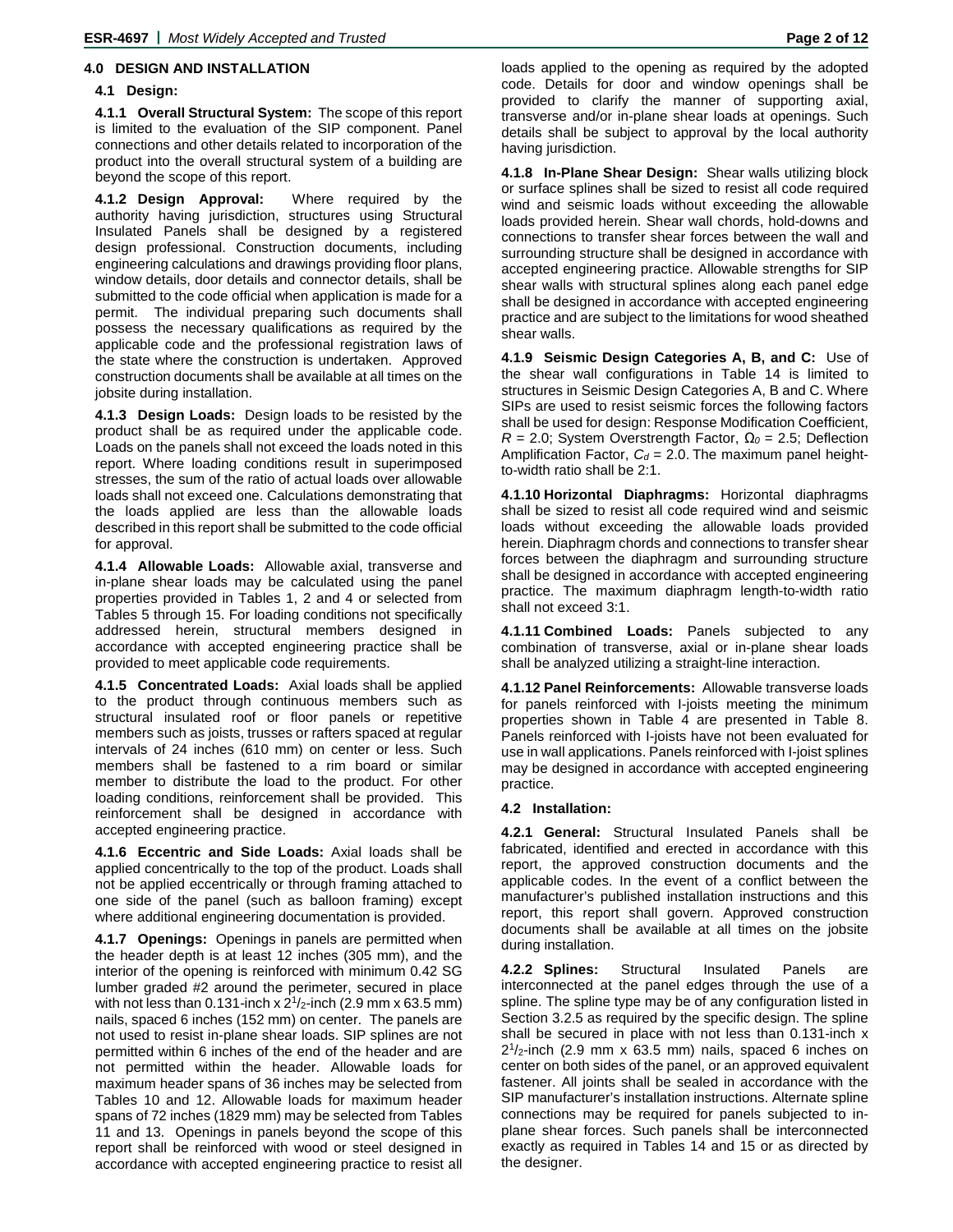### **4.0 DESIGN AND INSTALLATION**

#### **4.1 Design:**

**4.1.1 Overall Structural System:** The scope of this report is limited to the evaluation of the SIP component. Panel connections and other details related to incorporation of the product into the overall structural system of a building are beyond the scope of this report.

**4.1.2 Design Approval:** Where required by the authority having jurisdiction, structures using Structural Insulated Panels shall be designed by a registered design professional. Construction documents, including engineering calculations and drawings providing floor plans, window details, door details and connector details, shall be submitted to the code official when application is made for a permit. The individual preparing such documents shall possess the necessary qualifications as required by the applicable code and the professional registration laws of the state where the construction is undertaken. Approved construction documents shall be available at all times on the jobsite during installation.

**4.1.3 Design Loads:** Design loads to be resisted by the product shall be as required under the applicable code. Loads on the panels shall not exceed the loads noted in this report. Where loading conditions result in superimposed stresses, the sum of the ratio of actual loads over allowable loads shall not exceed one. Calculations demonstrating that the loads applied are less than the allowable loads described in this report shall be submitted to the code official for approval.

**4.1.4 Allowable Loads:** Allowable axial, transverse and in-plane shear loads may be calculated using the panel properties provided in Tables 1, 2 and 4 or selected from Tables 5 through 15. For loading conditions not specifically addressed herein, structural members designed in accordance with accepted engineering practice shall be provided to meet applicable code requirements.

**4.1.5 Concentrated Loads:** Axial loads shall be applied to the product through continuous members such as structural insulated roof or floor panels or repetitive members such as joists, trusses or rafters spaced at regular intervals of 24 inches (610 mm) on center or less. Such members shall be fastened to a rim board or similar member to distribute the load to the product. For other loading conditions, reinforcement shall be provided. This reinforcement shall be designed in accordance with accepted engineering practice.

**4.1.6 Eccentric and Side Loads:** Axial loads shall be applied concentrically to the top of the product. Loads shall not be applied eccentrically or through framing attached to one side of the panel (such as balloon framing) except where additional engineering documentation is provided.

**4.1.7 Openings:** Openings in panels are permitted when the header depth is at least 12 inches (305 mm), and the interior of the opening is reinforced with minimum 0.42 SG lumber graded #2 around the perimeter, secured in place with not less than 0.131-inch x  $2^{1}/2$ -inch (2.9 mm x 63.5 mm) nails, spaced 6 inches (152 mm) on center. The panels are not used to resist in-plane shear loads. SIP splines are not permitted within 6 inches of the end of the header and are not permitted within the header. Allowable loads for maximum header spans of 36 inches may be selected from Tables 10 and 12. Allowable loads for maximum header spans of 72 inches (1829 mm) may be selected from Tables 11 and 13. Openings in panels beyond the scope of this report shall be reinforced with wood or steel designed in accordance with accepted engineering practice to resist all

loads applied to the opening as required by the adopted code. Details for door and window openings shall be provided to clarify the manner of supporting axial, transverse and/or in-plane shear loads at openings. Such details shall be subject to approval by the local authority having jurisdiction.

**4.1.8 In-Plane Shear Design:** Shear walls utilizing block or surface splines shall be sized to resist all code required wind and seismic loads without exceeding the allowable loads provided herein. Shear wall chords, hold-downs and connections to transfer shear forces between the wall and surrounding structure shall be designed in accordance with accepted engineering practice. Allowable strengths for SIP shear walls with structural splines along each panel edge shall be designed in accordance with accepted engineering practice and are subject to the limitations for wood sheathed shear walls.

**4.1.9 Seismic Design Categories A, B, and C:** Use of the shear wall configurations in Table 14 is limited to structures in Seismic Design Categories A, B and C. Where SIPs are used to resist seismic forces the following factors shall be used for design: Response Modification Coefficient, *R* = 2.0; System Overstrength Factor, *Ω<sup>0</sup>* = 2.5; Deflection Amplification Factor,  $C_d = 2.0$ . The maximum panel heightto-width ratio shall be 2:1.

**4.1.10 Horizontal Diaphragms:** Horizontal diaphragms shall be sized to resist all code required wind and seismic loads without exceeding the allowable loads provided herein. Diaphragm chords and connections to transfer shear forces between the diaphragm and surrounding structure shall be designed in accordance with accepted engineering practice. The maximum diaphragm length-to-width ratio shall not exceed 3:1.

**4.1.11 Combined Loads:** Panels subjected to any combination of transverse, axial or in-plane shear loads shall be analyzed utilizing a straight-line interaction.

**4.1.12 Panel Reinforcements:** Allowable transverse loads for panels reinforced with I-joists meeting the minimum properties shown in Table 4 are presented in Table 8. Panels reinforced with I-joists have not been evaluated for use in wall applications. Panels reinforced with I-joist splines may be designed in accordance with accepted engineering practice.

#### **4.2 Installation:**

**4.2.1 General:** Structural Insulated Panels shall be fabricated, identified and erected in accordance with this report, the approved construction documents and the applicable codes. In the event of a conflict between the manufacturer's published installation instructions and this report, this report shall govern. Approved construction documents shall be available at all times on the jobsite during installation.

**4.2.2 Splines:** Structural Insulated Panels are interconnected at the panel edges through the use of a spline. The spline type may be of any configuration listed in Section 3.2.5 as required by the specific design. The spline shall be secured in place with not less than 0.131-inch x  $2^{1}/2$ -inch (2.9 mm x 63.5 mm) nails, spaced 6 inches on center on both sides of the panel, or an approved equivalent fastener. All joints shall be sealed in accordance with the SIP manufacturer's installation instructions. Alternate spline connections may be required for panels subjected to inplane shear forces. Such panels shall be interconnected exactly as required in Tables 14 and 15 or as directed by the designer.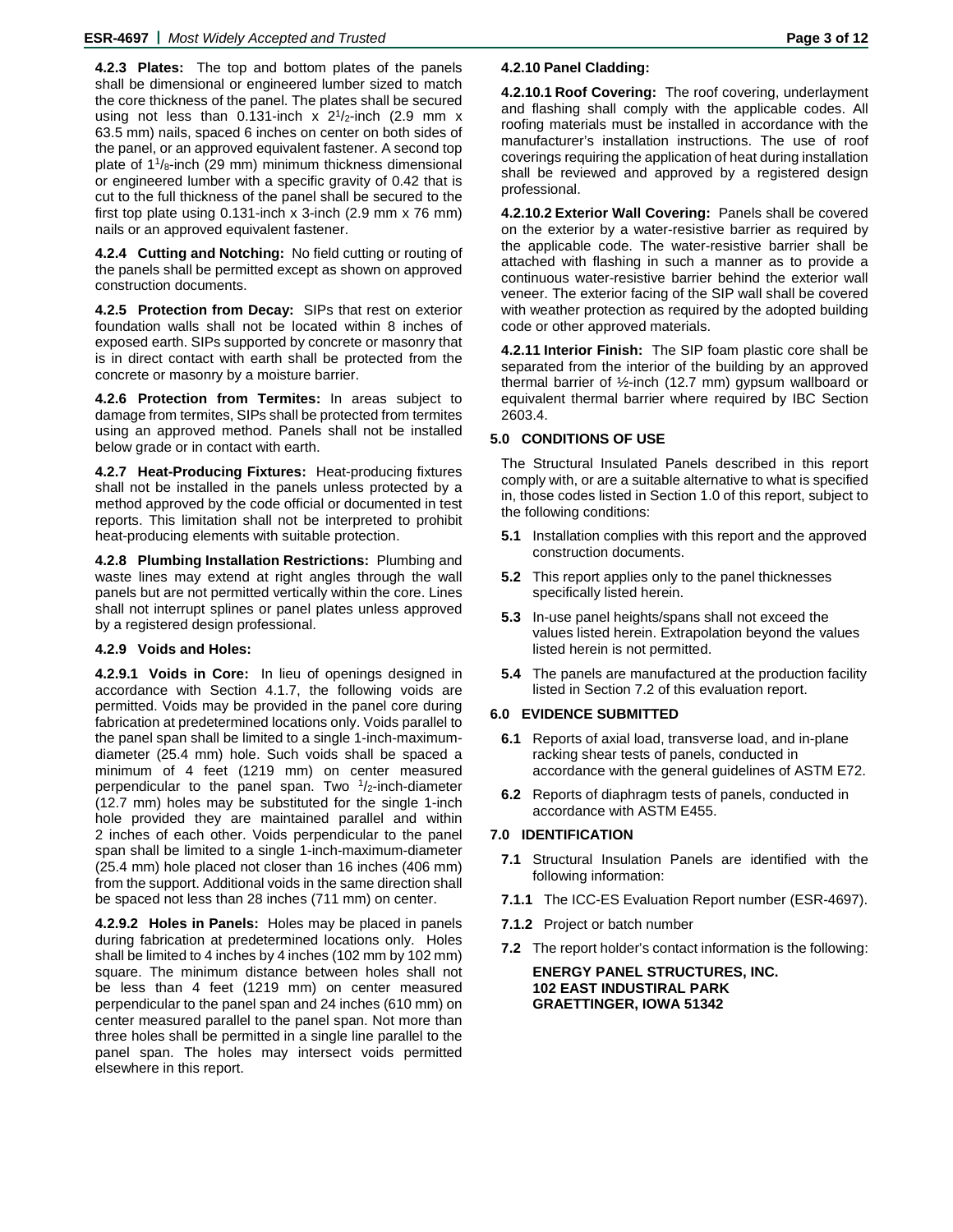**4.2.3 Plates:** The top and bottom plates of the panels shall be dimensional or engineered lumber sized to match the core thickness of the panel. The plates shall be secured using not less than 0.131-inch  $x$  2<sup>1</sup>/<sub>2</sub>-inch (2.9 mm  $x$ 63.5 mm) nails, spaced 6 inches on center on both sides of the panel, or an approved equivalent fastener. A second top plate of  $1\frac{1}{8}$ -inch (29 mm) minimum thickness dimensional or engineered lumber with a specific gravity of 0.42 that is cut to the full thickness of the panel shall be secured to the first top plate using 0.131-inch x 3-inch (2.9 mm x 76 mm) nails or an approved equivalent fastener.

**4.2.4 Cutting and Notching:** No field cutting or routing of the panels shall be permitted except as shown on approved construction documents.

**4.2.5 Protection from Decay:** SIPs that rest on exterior foundation walls shall not be located within 8 inches of exposed earth. SIPs supported by concrete or masonry that is in direct contact with earth shall be protected from the concrete or masonry by a moisture barrier.

**4.2.6 Protection from Termites:** In areas subject to damage from termites, SIPs shall be protected from termites using an approved method. Panels shall not be installed below grade or in contact with earth.

**4.2.7 Heat-Producing Fixtures:** Heat-producing fixtures shall not be installed in the panels unless protected by a method approved by the code official or documented in test reports. This limitation shall not be interpreted to prohibit heat-producing elements with suitable protection.

**4.2.8 Plumbing Installation Restrictions:** Plumbing and waste lines may extend at right angles through the wall panels but are not permitted vertically within the core. Lines shall not interrupt splines or panel plates unless approved by a registered design professional.

## **4.2.9 Voids and Holes:**

**4.2.9.1 Voids in Core:** In lieu of openings designed in accordance with Section 4.1.7, the following voids are permitted. Voids may be provided in the panel core during fabrication at predetermined locations only. Voids parallel to the panel span shall be limited to a single 1-inch-maximumdiameter (25.4 mm) hole. Such voids shall be spaced a minimum of 4 feet (1219 mm) on center measured perpendicular to the panel span. Two  $\frac{1}{2}$ -inch-diameter (12.7 mm) holes may be substituted for the single 1-inch hole provided they are maintained parallel and within 2 inches of each other. Voids perpendicular to the panel span shall be limited to a single 1-inch-maximum-diameter (25.4 mm) hole placed not closer than 16 inches (406 mm) from the support. Additional voids in the same direction shall be spaced not less than 28 inches (711 mm) on center.

**4.2.9.2 Holes in Panels:** Holes may be placed in panels during fabrication at predetermined locations only. Holes shall be limited to 4 inches by 4 inches (102 mm by 102 mm) square. The minimum distance between holes shall not be less than 4 feet (1219 mm) on center measured perpendicular to the panel span and 24 inches (610 mm) on center measured parallel to the panel span. Not more than three holes shall be permitted in a single line parallel to the panel span. The holes may intersect voids permitted elsewhere in this report.

#### **4.2.10 Panel Cladding:**

**4.2.10.1 Roof Covering:** The roof covering, underlayment and flashing shall comply with the applicable codes. All roofing materials must be installed in accordance with the manufacturer's installation instructions. The use of roof coverings requiring the application of heat during installation shall be reviewed and approved by a registered design professional.

**4.2.10.2 Exterior Wall Covering:** Panels shall be covered on the exterior by a water-resistive barrier as required by the applicable code. The water-resistive barrier shall be attached with flashing in such a manner as to provide a continuous water-resistive barrier behind the exterior wall veneer. The exterior facing of the SIP wall shall be covered with weather protection as required by the adopted building code or other approved materials.

**4.2.11 Interior Finish:** The SIP foam plastic core shall be separated from the interior of the building by an approved thermal barrier of ½-inch (12.7 mm) gypsum wallboard or equivalent thermal barrier where required by IBC Section 2603.4.

## **5.0 CONDITIONS OF USE**

The Structural Insulated Panels described in this report comply with, or are a suitable alternative to what is specified in, those codes listed in Section 1.0 of this report, subject to the following conditions:

- **5.1** Installation complies with this report and the approved construction documents.
- **5.2** This report applies only to the panel thicknesses specifically listed herein.
- **5.3** In-use panel heights/spans shall not exceed the values listed herein. Extrapolation beyond the values listed herein is not permitted.
- **5.4** The panels are manufactured at the production facility listed in Section 7.2 of this evaluation report.

#### **6.0 EVIDENCE SUBMITTED**

- **6.1** Reports of axial load, transverse load, and in-plane racking shear tests of panels, conducted in accordance with the general guidelines of ASTM E72.
- **6.2** Reports of diaphragm tests of panels, conducted in accordance with ASTM E455.

# **7.0 IDENTIFICATION**

- **7.1** Structural Insulation Panels are identified with the following information:
- **7.1.1** The ICC-ES Evaluation Report number (ESR-4697).
- **7.1.2** Project or batch number
- **7.2** The report holder's contact information is the following:

**ENERGY PANEL STRUCTURES, INC. 102 EAST INDUSTIRAL PARK GRAETTINGER, IOWA 51342**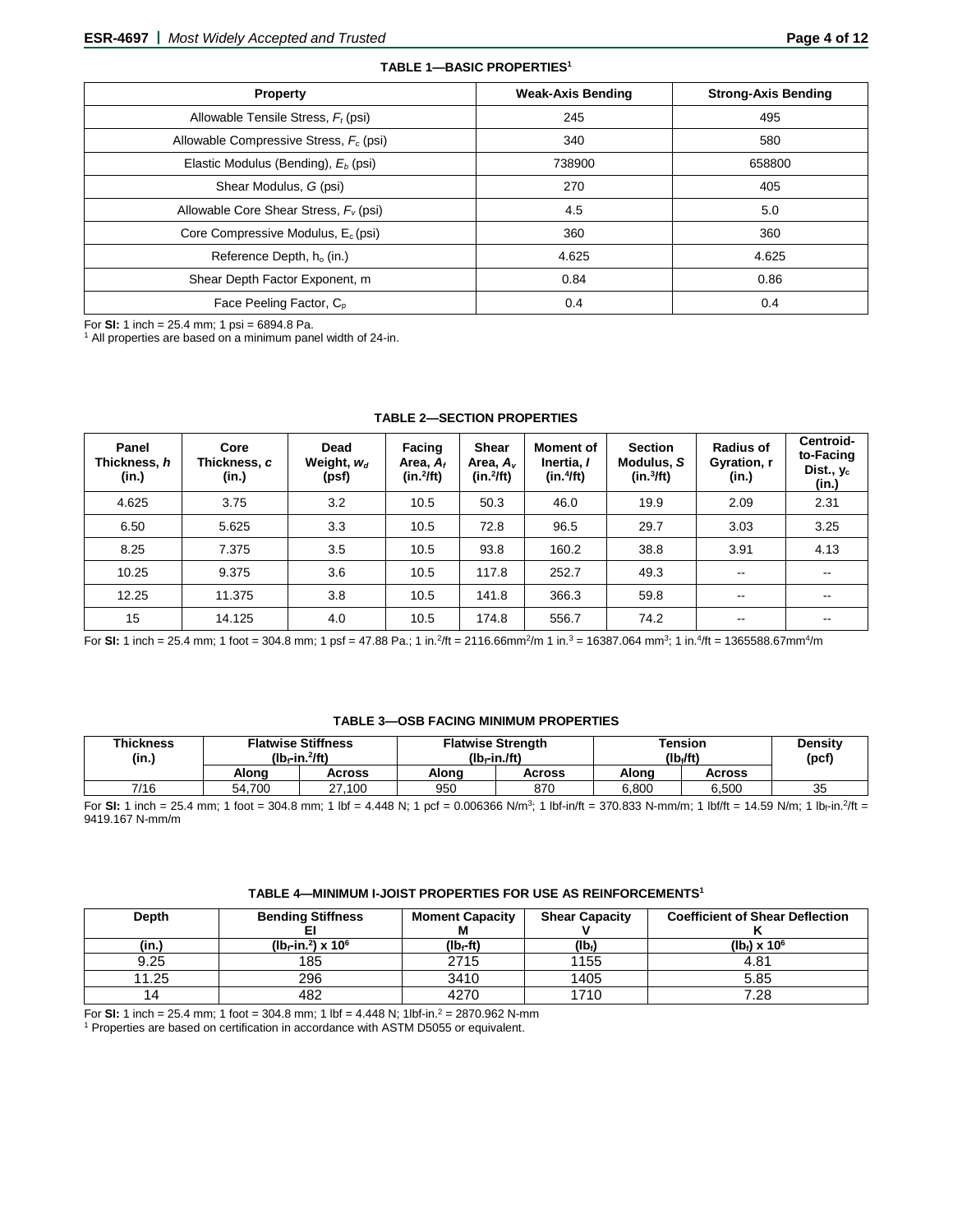| <b>Property</b>                                 | <b>Weak-Axis Bending</b> | <b>Strong-Axis Bending</b> |
|-------------------------------------------------|--------------------------|----------------------------|
| Allowable Tensile Stress, $F_t$ (psi)           | 245                      | 495                        |
| Allowable Compressive Stress, $F_c$ (psi)       | 340                      | 580                        |
| Elastic Modulus (Bending), E <sub>b</sub> (psi) | 738900                   | 658800                     |
| Shear Modulus, G (psi)                          | 270                      | 405                        |
| Allowable Core Shear Stress, $F_v$ (psi)        | 4.5                      | 5.0                        |
| Core Compressive Modulus, $E_c$ (psi)           | 360                      | 360                        |
| Reference Depth, $h_0$ (in.)                    | 4.625                    | 4.625                      |
| Shear Depth Factor Exponent, m                  | 0.84                     | 0.86                       |
| Face Peeling Factor, C <sub>p</sub>             | 0.4                      | 0.4                        |

**TABLE 1—BASIC PROPERTIES1**

For **SI:** 1 inch = 25.4 mm; 1 psi = 6894.8 Pa.<br><sup>1</sup> All properties are based on a minimum panel width of 24-in.

| Panel<br>Thickness, h<br>(in.) | Core<br>Thickness, c<br>(in.) | Dead<br>Weight, $w_d$<br>(psf) | Facing<br>Area, $A_f$<br>$(in.^2fft)$ | Shear<br>Area, $A_{\nu}$<br>$(in.^2/ft)$ | <b>Moment of</b><br>Inertia, I<br>(in.4ft) | <b>Section</b><br>Modulus, S<br>(in.3ft) | <b>Radius of</b><br>Gyration, r<br>(in.) | Centroid-<br>to-Facing<br>Dist., y <sub>c</sub><br>(in.) |
|--------------------------------|-------------------------------|--------------------------------|---------------------------------------|------------------------------------------|--------------------------------------------|------------------------------------------|------------------------------------------|----------------------------------------------------------|
| 4.625                          | 3.75                          | 3.2                            | 10.5                                  | 50.3                                     | 46.0                                       | 19.9                                     | 2.09                                     | 2.31                                                     |
| 6.50                           | 5.625                         | 3.3                            | 10.5                                  | 72.8                                     | 96.5                                       | 29.7                                     | 3.03                                     | 3.25                                                     |
| 8.25                           | 7.375                         | 3.5                            | 10.5                                  | 93.8                                     | 160.2                                      | 38.8                                     | 3.91                                     | 4.13                                                     |
| 10.25                          | 9.375                         | 3.6                            | 10.5                                  | 117.8                                    | 252.7                                      | 49.3                                     | $\sim$ $\sim$                            | $\sim$ $\sim$                                            |
| 12.25                          | 11.375                        | 3.8                            | 10.5                                  | 141.8                                    | 366.3                                      | 59.8                                     | $\sim$ $\sim$                            | $- -$                                                    |
| 15                             | 14.125                        | 4.0                            | 10.5                                  | 174.8                                    | 556.7                                      | 74.2                                     | $\overline{\phantom{m}}$                 | --                                                       |

#### **TABLE 2—SECTION PROPERTIES**

For **SI:** 1 inch = 25.4 mm; 1 foot = 304.8 mm; 1 psf = 47.88 Pa.; 1 in.<sup>2</sup>/ft = 2116.66mm<sup>2</sup>/m 1 in.<sup>3</sup> = 16387.064 mm<sup>3</sup>; 1 in.<sup>4</sup>/ft = 1365588.67mm<sup>4</sup>/m

## **TABLE 3—OSB FACING MINIMUM PROPERTIES**

| <b>Thickness</b><br>(in.) | <b>Flatwise Stiffness</b><br>$(Ib-fin.^2/ft)$ |        | $(Ib-fn.ft)$ | <b>Flatwise Strength</b> | <b>Tension</b><br>(lb <sub>i</sub> /ft) | <b>Density</b><br>$($ pcf $)$ |    |
|---------------------------|-----------------------------------------------|--------|--------------|--------------------------|-----------------------------------------|-------------------------------|----|
|                           | Alona                                         | Across | Along        | Across                   | Alona                                   | Across                        |    |
| 7/16                      | 54.700                                        | 27.100 | 950          | 870                      | 6.800                                   | 6.500                         | 35 |

For **SI:** 1 inch = 25.4 mm; 1 foot = 304.8 mm; 1 lbf = 4.448 N; 1 pcf = 0.006366 N/m<sup>3</sup>; 1 lbf-in/ft = 370.833 N-mm/m; 1 lbf/ft = 14.59 N/m; 1 lb<sub>f</sub>-in.<sup>2</sup>/ft = 9419.167 N-mm/m

#### **TABLE 4—MINIMUM I-JOIST PROPERTIES FOR USE AS REINFORCEMENTS1**

| <b>Depth</b> | <b>Bending Stiffness</b>                      | <b>Moment Capacity</b> | <b>Shear Capacity</b> | <b>Coefficient of Shear Deflection</b> |
|--------------|-----------------------------------------------|------------------------|-----------------------|----------------------------------------|
| (in.)        | ( $10f$ -in. <sup>2</sup> ) x 10 <sup>6</sup> | (lb <sub>f</sub> -ft)  | $(Ib_i)$              | $(lbf) \times 106$                     |
| 9.25         | 185                                           | 2715                   | 1155                  | 4.81                                   |
| 11.25        | 296                                           | 3410                   | 1405                  | 5.85                                   |
| 14           | 482                                           | 4270                   | 1710                  | 7.28                                   |

For **SI:** 1 inch = 25.4 mm; 1 foot = 304.8 mm; 1 lbf = 4.448 N; 1 lbf-in.<sup>2</sup> = 2870.962 N-mm

<sup>1</sup> Properties are based on certification in accordance with ASTM D5055 or equivalent.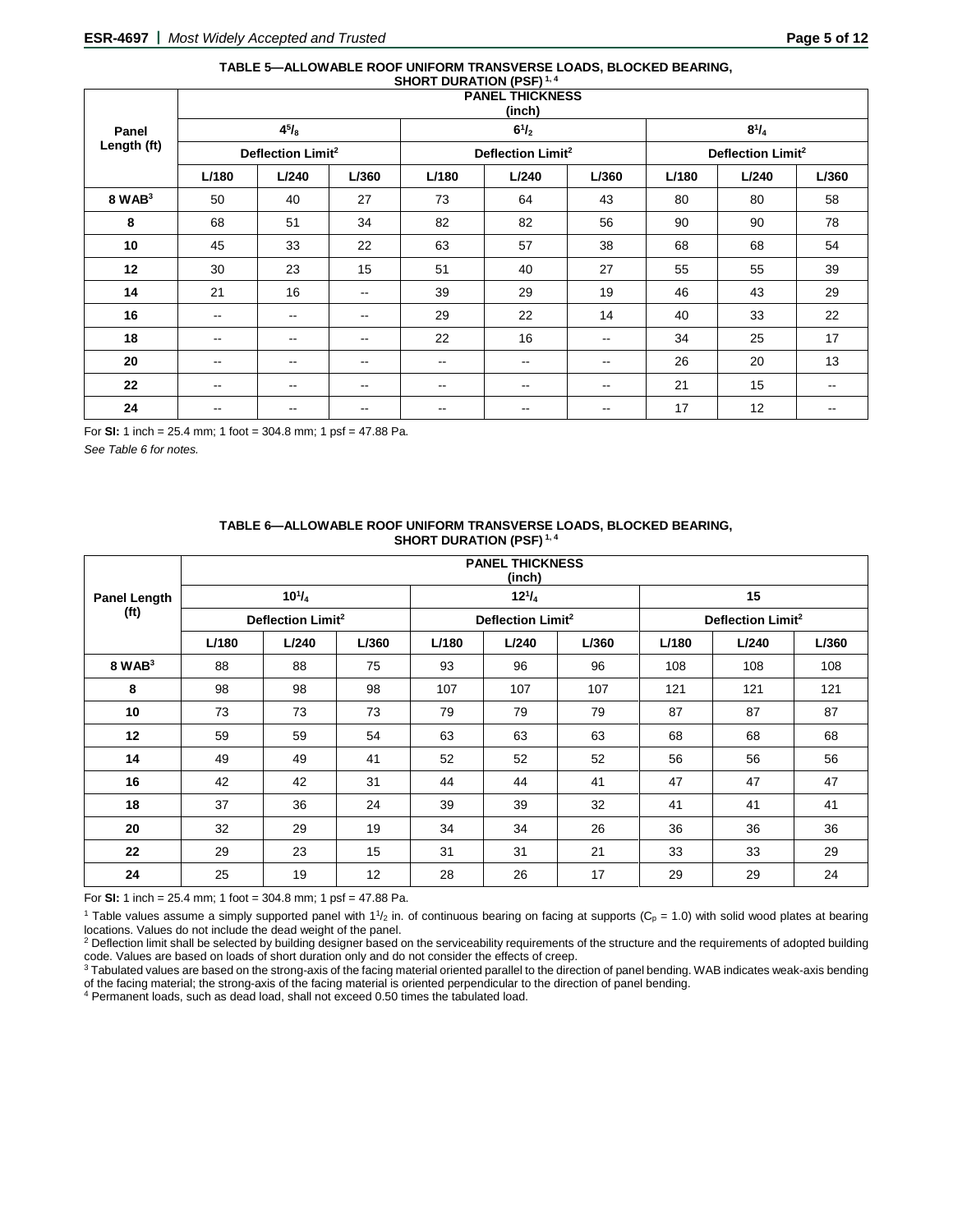#### **TABLE 5—ALLOWABLE ROOF UNIFORM TRANSVERSE LOADS, BLOCKED BEARING, SHORT DURATION (PSF) 1, 4**

|                 |                          | <b>PANEL THICKNESS</b><br>(inch) |                          |                          |                               |       |       |                               |       |  |
|-----------------|--------------------------|----------------------------------|--------------------------|--------------------------|-------------------------------|-------|-------|-------------------------------|-------|--|
| Panel           |                          | $4^{5}/_{8}$                     |                          |                          | $6^{1}/_{2}$                  |       |       | $8^{1}/_{4}$                  |       |  |
| Length (ft)     |                          | Deflection Limit <sup>2</sup>    |                          |                          | Deflection Limit <sup>2</sup> |       |       | Deflection Limit <sup>2</sup> |       |  |
|                 | L/180                    | L/240                            | L/360                    | L/180                    | L/240                         | L/360 | L/180 | L/240                         | L/360 |  |
| $8$ WAB $3$     | 50                       | 40                               | 27                       | 73                       | 64                            | 43    | 80    | 80                            | 58    |  |
| 8               | 68                       | 51                               | 34                       | 82                       | 82                            | 56    | 90    | 90                            | 78    |  |
| 10 <sub>1</sub> | 45                       | 33                               | 22                       | 63                       | 57                            | 38    | 68    | 68                            | 54    |  |
| 12              | 30                       | 23                               | 15                       | 51                       | 40                            | 27    | 55    | 55                            | 39    |  |
| 14              | 21                       | 16                               | $\overline{\phantom{m}}$ | 39                       | 29                            | 19    | 46    | 43                            | 29    |  |
| 16              | $\overline{\phantom{a}}$ | $\overline{\phantom{m}}$         | $\overline{\phantom{m}}$ | 29                       | 22                            | 14    | 40    | 33                            | 22    |  |
| 18              | $\qquad \qquad -$        | --                               | $\overline{\phantom{a}}$ | 22                       | 16                            | --    | 34    | 25                            | 17    |  |
| 20              | --                       | $\sim$ $\sim$                    | $\overline{\phantom{m}}$ | $\overline{\phantom{a}}$ | $\sim$ $\sim$                 | --    | 26    | 20                            | 13    |  |
| 22              | --                       | --                               | $\overline{\phantom{a}}$ | $\overline{\phantom{a}}$ | $\overline{\phantom{a}}$      | --    | 21    | 15                            | --    |  |
| 24              | $- -$                    | --                               | $\overline{\phantom{a}}$ | --                       | --                            | --    | 17    | 12                            | --    |  |

For **SI:** 1 inch = 25.4 mm; 1 foot = 304.8 mm; 1 psf = 47.88 Pa.

*See Table 6 for notes.*

| TABLE 6-ALLOWABLE ROOF UNIFORM TRANSVERSE LOADS, BLOCKED BEARING, |
|-------------------------------------------------------------------|
| <b>SHORT DURATION (PSF)</b> <sup>1, 4</sup>                       |

|                   |       |                               |       |       | <b>PANEL THICKNESS</b><br>(inch) |       |       |                               |       |
|-------------------|-------|-------------------------------|-------|-------|----------------------------------|-------|-------|-------------------------------|-------|
| Panel Length      |       | $10^{1}/_{4}$                 |       |       | $12^{1}/_{4}$                    |       |       | 15                            |       |
| (f <sup>t</sup> ) |       | Deflection Limit <sup>2</sup> |       |       | Deflection Limit <sup>2</sup>    |       |       | Deflection Limit <sup>2</sup> |       |
|                   | L/180 | L/240                         | L/360 | L/180 | L/240                            | L/360 | L/180 | L/240                         | L/360 |
| $8$ WAB $3$       | 88    | 88                            | 75    | 93    | 96                               | 96    | 108   | 108                           | 108   |
| 8                 | 98    | 98                            | 98    | 107   | 107                              | 107   | 121   | 121                           | 121   |
| 10                | 73    | 73                            | 73    | 79    | 79                               | 79    | 87    | 87                            | 87    |
| 12                | 59    | 59                            | 54    | 63    | 63                               | 63    | 68    | 68                            | 68    |
| 14                | 49    | 49                            | 41    | 52    | 52                               | 52    | 56    | 56                            | 56    |
| 16                | 42    | 42                            | 31    | 44    | 44                               | 41    | 47    | 47                            | 47    |
| 18                | 37    | 36                            | 24    | 39    | 39                               | 32    | 41    | 41                            | 41    |
| 20                | 32    | 29                            | 19    | 34    | 34                               | 26    | 36    | 36                            | 36    |
| 22                | 29    | 23                            | 15    | 31    | 31                               | 21    | 33    | 33                            | 29    |
| 24                | 25    | 19                            | 12    | 28    | 26                               | 17    | 29    | 29                            | 24    |

For **SI:** 1 inch = 25.4 mm; 1 foot = 304.8 mm; 1 psf = 47.88 Pa.

<sup>1</sup> Table values assume a simply supported panel with  $1\frac{1}{2}$  in. of continuous bearing on facing at supports (C<sub>p</sub> = 1.0) with solid wood plates at bearing locations. Values do not include the dead weight of the panel.

<sup>2</sup> Deflection limit shall be selected by building designer based on the serviceability requirements of the structure and the requirements of adopted building code. Values are based on loads of short duration only and do not consider the effects of creep.

<sup>3</sup> Tabulated values are based on the strong-axis of the facing material oriented parallel to the direction of panel bending. WAB indicates weak-axis bending of the facing material; the strong-axis of the facing material is oriented perpendicular to the direction of panel bending.

<sup>4</sup> Permanent loads, such as dead load, shall not exceed 0.50 times the tabulated load.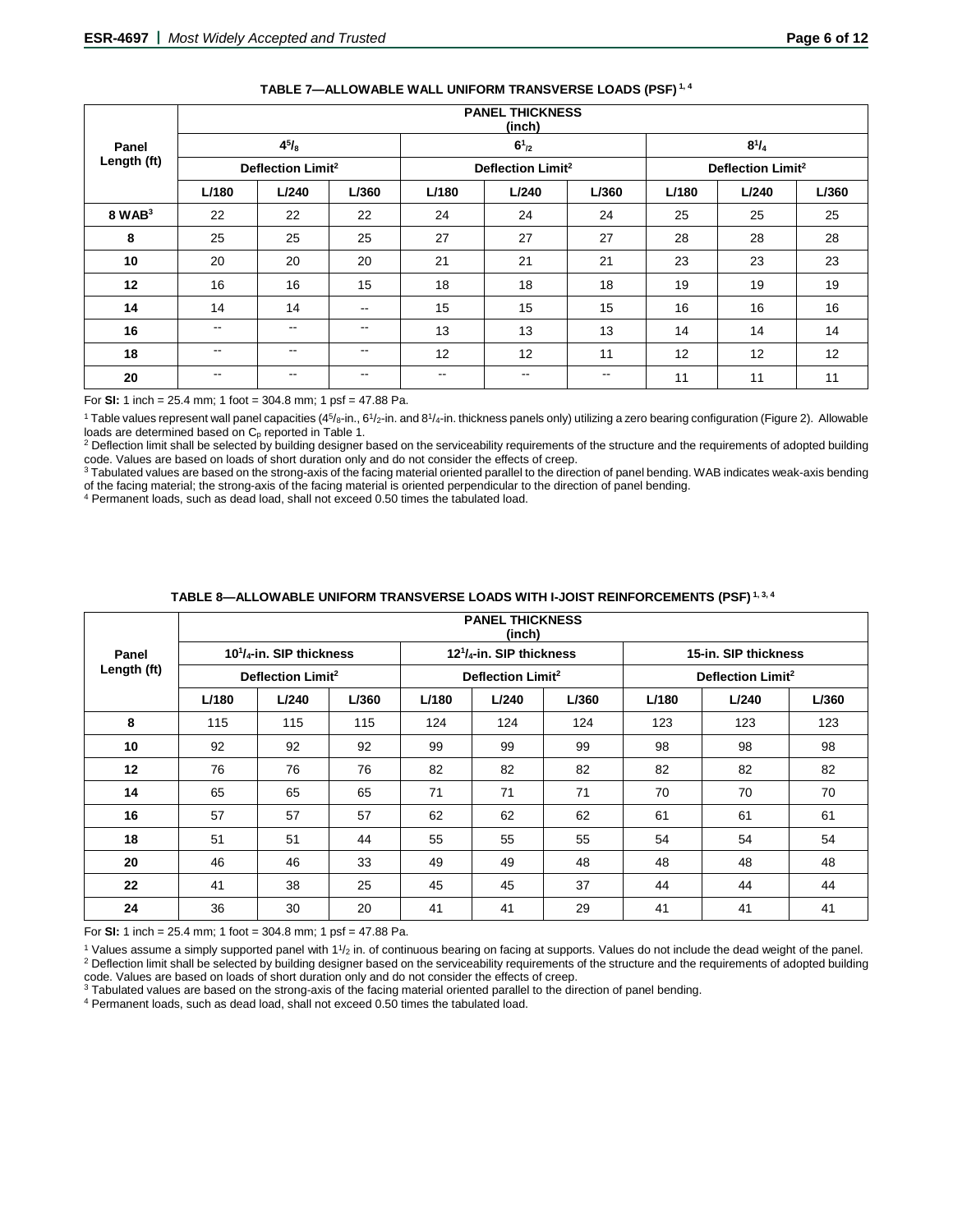|             |               |                               |               |                          | <b>FANEL INIUNNESS</b><br>(inch) |               |       |                               |       |
|-------------|---------------|-------------------------------|---------------|--------------------------|----------------------------------|---------------|-------|-------------------------------|-------|
| Panel       |               | $4^{5}/_{8}$                  |               |                          | $6^{1}_{2}$                      |               |       | $8^{1}/_{4}$                  |       |
| Length (ft) |               | Deflection Limit <sup>2</sup> |               |                          | Deflection Limit <sup>2</sup>    |               |       | Deflection Limit <sup>2</sup> |       |
|             | L/180         | L/240                         | L/360         | L/180                    | L/240                            | L/360         | L/180 | L/240                         | L/360 |
| $8$ WAB $3$ | 22            | 22                            | 22            | 24                       | 24                               | 24            | 25    | 25                            | 25    |
| 8           | 25            | 25                            | 25            | 27                       | 27                               | 27            | 28    | 28                            | 28    |
| 10          | 20            | 20                            | 20            | 21                       | 21                               | 21            | 23    | 23                            | 23    |
| 12          | 16            | 16                            | 15            | 18                       | 18                               | 18            | 19    | 19                            | 19    |
| 14          | 14            | 14                            | $\sim$ $\sim$ | 15                       | 15                               | 15            | 16    | 16                            | 16    |
| 16          | $\sim$ $\sim$ | $- -$                         | $\sim$ $\sim$ | 13                       | 13                               | 13            | 14    | 14                            | 14    |
| 18          | $- -$         | $- -$                         | $\sim$ $\sim$ | 12                       | 12                               | 11            | 12    | 12                            | 12    |
| 20          | $\sim$ $\sim$ | $- -$                         | $\sim$ $\sim$ | $\overline{\phantom{a}}$ | --                               | $\sim$ $\sim$ | 11    | 11                            | 11    |

#### **TABLE 7—ALLOWABLE WALL UNIFORM TRANSVERSE LOADS (PSF) 1, 4**

**PANEL THICKNESS**

For **SI:** 1 inch = 25.4 mm; 1 foot = 304.8 mm; 1 psf = 47.88 Pa.

<sup>1</sup> Table values represent wall panel capacities (4<sup>5</sup>/8-in., 6<sup>1</sup>/2-in. and 8<sup>1</sup>/4-in. thickness panels only) utilizing a zero bearing configuration (Figure 2). Allowable

loads are determined based on C<sub>p</sub> reported in Table 1.<br><sup>2</sup> Deflection limit shall be selected by building designer based on the serviceability requirements of the structure and the requirements of adopted building code. Values are based on loads of short duration only and do not consider the effects of creep.

3 Tabulated values are based on the strong-axis of the facing material oriented parallel to the direction of panel bending. WAB indicates weak-axis bending of the facing material; the strong-axis of the facing material is oriented perpendicular to the direction of panel bending.

<sup>4</sup> Permanent loads, such as dead load, shall not exceed 0.50 times the tabulated load.

|                   |       |                                  |       |       | <b>PANEL THICKNESS</b><br>(inch) |       |       |                               |       |
|-------------------|-------|----------------------------------|-------|-------|----------------------------------|-------|-------|-------------------------------|-------|
| Panel             |       | $10^{1}/_{4}$ -in. SIP thickness |       |       | $12^{1}/_{4}$ -in. SIP thickness |       |       | 15-in. SIP thickness          |       |
| Length (ft)       |       | Deflection Limit <sup>2</sup>    |       |       | Deflection Limit <sup>2</sup>    |       |       | Deflection Limit <sup>2</sup> |       |
|                   | L/180 | L/240                            | L/360 | L/180 | L/240                            | L/360 | L/180 | L/240                         | L/360 |
| 8                 | 115   | 115                              | 115   | 124   | 124                              | 124   | 123   | 123                           | 123   |
| 10                | 92    | 92                               | 92    | 99    | 99                               | 99    | 98    | 98                            | 98    |
| $12 \overline{ }$ | 76    | 76                               | 76    | 82    | 82                               | 82    | 82    | 82                            | 82    |
| 14                | 65    | 65                               | 65    | 71    | 71                               | 71    | 70    | 70                            | 70    |
| 16                | 57    | 57                               | 57    | 62    | 62                               | 62    | 61    | 61                            | 61    |
| 18                | 51    | 51                               | 44    | 55    | 55                               | 55    | 54    | 54                            | 54    |
| 20                | 46    | 46                               | 33    | 49    | 49                               | 48    | 48    | 48                            | 48    |
| 22                | 41    | 38                               | 25    | 45    | 45                               | 37    | 44    | 44                            | 44    |
| 24                | 36    | 30                               | 20    | 41    | 41                               | 29    | 41    | 41                            | 41    |

#### **TABLE 8—ALLOWABLE UNIFORM TRANSVERSE LOADS WITH I-JOIST REINFORCEMENTS (PSF) 1, 3, 4**

For **SI:** 1 inch = 25.4 mm; 1 foot = 304.8 mm; 1 psf = 47.88 Pa.

 $1$  Values assume a simply supported panel with  $11/2$  in. of continuous bearing on facing at supports. Values do not include the dead weight of the panel. <sup>2</sup> Deflection limit shall be selected by building designer based on the serviceability requirements of the structure and the requirements of adopted building code. Values are based on loads of short duration only and do not consider the effects of creep.

<sup>3</sup> Tabulated values are based on the strong-axis of the facing material oriented parallel to the direction of panel bending.

<sup>4</sup> Permanent loads, such as dead load, shall not exceed 0.50 times the tabulated load.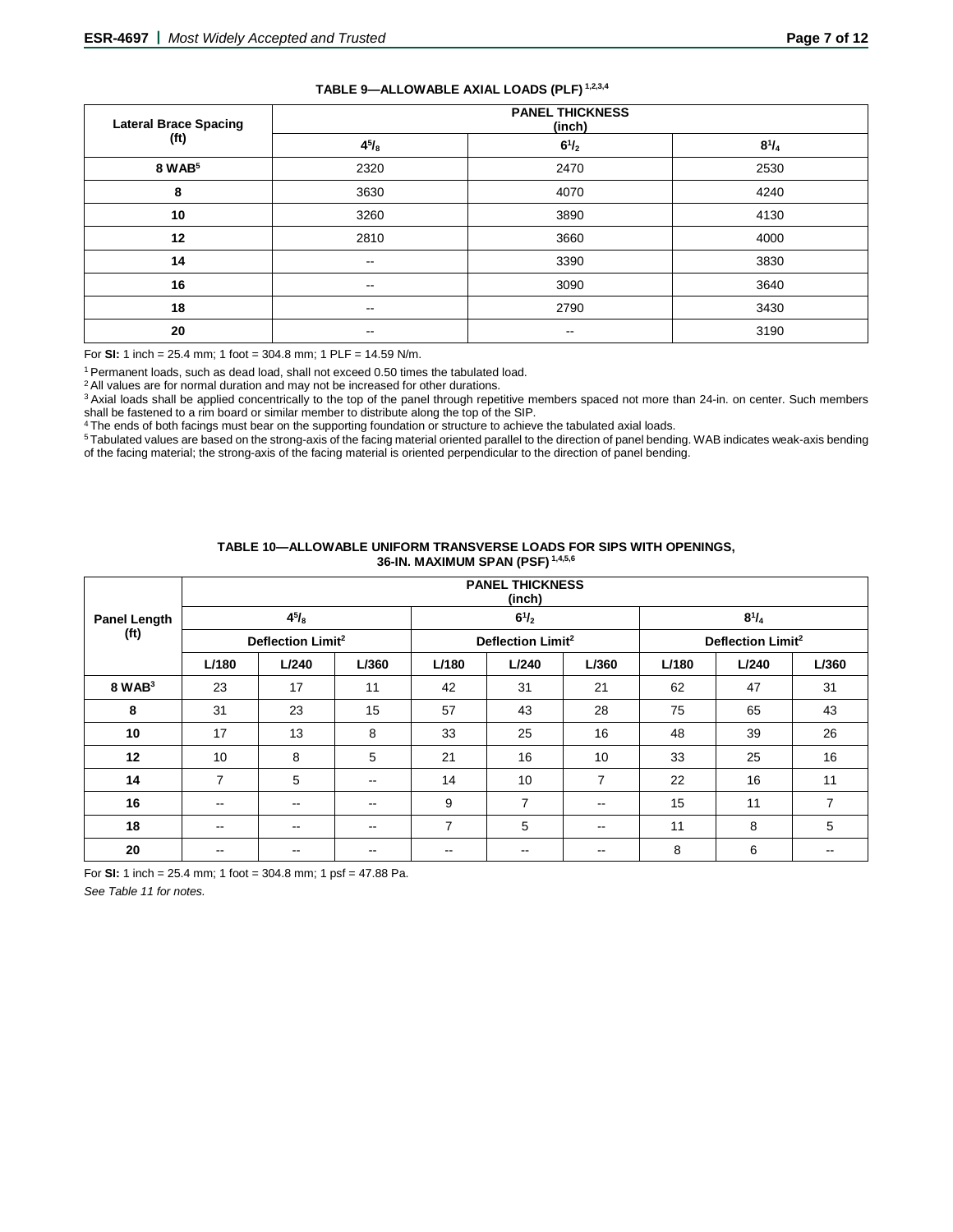| TABLE 9-ALLOWABLE AXIAL LOADS (PLF) 1,2,3,4 |
|---------------------------------------------|
|---------------------------------------------|

| <b>Lateral Brace Spacing</b> | <b>PANEL THICKNESS</b><br>(inch) |                          |              |  |  |  |  |  |
|------------------------------|----------------------------------|--------------------------|--------------|--|--|--|--|--|
| (f <sup>t</sup> )            | $4^{5}/_{8}$                     | $6^{1}/_{2}$             | $8^{1}/_{4}$ |  |  |  |  |  |
| 8 WAB <sup>5</sup>           | 2320                             | 2470                     | 2530         |  |  |  |  |  |
| 8                            | 3630                             | 4070                     | 4240         |  |  |  |  |  |
| 10                           | 3260                             | 3890                     | 4130         |  |  |  |  |  |
| 12                           | 2810                             | 3660                     | 4000         |  |  |  |  |  |
| 14                           | $\sim$                           | 3390                     | 3830         |  |  |  |  |  |
| 16                           | $\sim$                           | 3090                     | 3640         |  |  |  |  |  |
| 18                           | $\sim$                           | 2790                     | 3430         |  |  |  |  |  |
| 20                           | $\sim$                           | $\overline{\phantom{m}}$ | 3190         |  |  |  |  |  |

For **SI:** 1 inch = 25.4 mm; 1 foot = 304.8 mm; 1 PLF = 14.59 N/m.

1 Permanent loads, such as dead load, shall not exceed 0.50 times the tabulated load.

<sup>2</sup> All values are for normal duration and may not be increased for other durations.

<sup>3</sup> Axial loads shall be applied concentrically to the top of the panel through repetitive members spaced not more than 24-in. on center. Such members shall be fastened to a rim board or similar member to distribute along the top of the SIP.

<sup>4</sup> The ends of both facings must bear on the supporting foundation or structure to achieve the tabulated axial loads.

5 Tabulated values are based on the strong-axis of the facing material oriented parallel to the direction of panel bending. WAB indicates weak-axis bending of the facing material; the strong-axis of the facing material is oriented perpendicular to the direction of panel bending.

| TABLE 10-ALLOWABLE UNIFORM TRANSVERSE LOADS FOR SIPS WITH OPENINGS. |
|---------------------------------------------------------------------|
| 36-IN. MAXIMUM SPAN (PSF) 1,4,5,6                                   |

|                                          | <b>PANEL THICKNESS</b><br>(inch) |               |                               |                          |                               |                |       |              |       |
|------------------------------------------|----------------------------------|---------------|-------------------------------|--------------------------|-------------------------------|----------------|-------|--------------|-------|
| <b>Panel Length</b><br>(f <sup>t</sup> ) |                                  | $4^{5}/_{8}$  |                               |                          | $6^{1}/_{2}$                  |                |       | $8^{1}/_{4}$ |       |
|                                          | Deflection Limit <sup>2</sup>    |               | Deflection Limit <sup>2</sup> |                          | Deflection Limit <sup>2</sup> |                |       |              |       |
|                                          | L/180                            | L/240         | L/360                         | L/180                    | L/240                         | L/360          | L/180 | L/240        | L/360 |
| $8$ WAB $3$                              | 23                               | 17            | 11                            | 42                       | 31                            | 21             | 62    | 47           | 31    |
| 8                                        | 31                               | 23            | 15                            | 57                       | 43                            | 28             | 75    | 65           | 43    |
| 10                                       | 17                               | 13            | 8                             | 33                       | 25                            | 16             | 48    | 39           | 26    |
| 12                                       | 10                               | 8             | 5                             | 21                       | 16                            | 10             | 33    | 25           | 16    |
| 14                                       | 7                                | 5             | $\sim$ $\sim$                 | 14                       | 10                            | $\overline{7}$ | 22    | 16           | 11    |
| 16                                       | $\overline{\phantom{a}}$         | $\sim$ $\sim$ | $\sim$ $\sim$                 | 9                        | $\overline{7}$                | $-$            | 15    | 11           | 7     |
| 18                                       | $\overline{\phantom{a}}$         | $\sim$ $\sim$ | $\sim$ $\sim$                 | 7                        | 5                             | $\sim$ $\sim$  | 11    | 8            | 5     |
| 20                                       | --                               | $- -$         | $- -$                         | $\overline{\phantom{m}}$ | --                            | $- -$          | 8     | 6            |       |

For **SI:** 1 inch = 25.4 mm; 1 foot = 304.8 mm; 1 psf = 47.88 Pa.

*See Table 11 for notes.*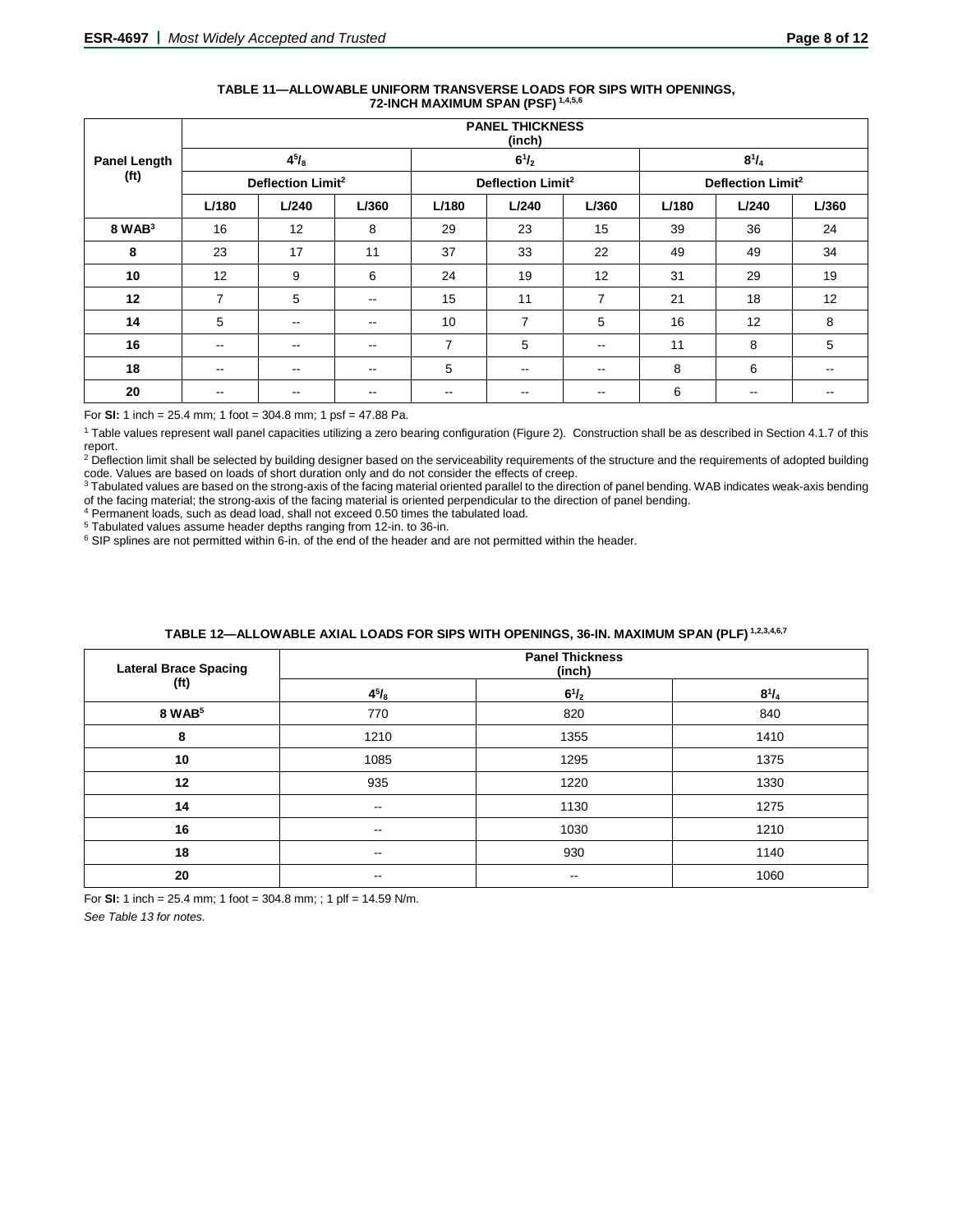| TABLE 11-ALLOWABLE UNIFORM TRANSVERSE LOADS FOR SIPS WITH OPENINGS.<br>72-INCH MAXIMUM SPAN (PSF) 1,4,5,6 |
|-----------------------------------------------------------------------------------------------------------|
|                                                                                                           |

|                     | <b>PANEL THICKNESS</b><br>(inch) |                          |                               |                          |                               |                          |       |               |       |
|---------------------|----------------------------------|--------------------------|-------------------------------|--------------------------|-------------------------------|--------------------------|-------|---------------|-------|
| <b>Panel Length</b> |                                  | $4^{5}/_{8}$             |                               |                          | $6^{1}/_{2}$                  |                          |       | $8^{1}/_{4}$  |       |
| (f <sup>t</sup> )   | Deflection Limit <sup>2</sup>    |                          | Deflection Limit <sup>2</sup> |                          | Deflection Limit <sup>2</sup> |                          |       |               |       |
|                     | L/180                            | L/240                    | L/360                         | L/180                    | L/240                         | L/360                    | L/180 | L/240         | L/360 |
| $8$ WAB $3$         | 16                               | 12                       | 8                             | 29                       | 23                            | 15                       | 39    | 36            | 24    |
| 8                   | 23                               | 17                       | 11                            | 37                       | 33                            | 22                       | 49    | 49            | 34    |
| 10                  | 12                               | 9                        | 6                             | 24                       | 19                            | 12                       | 31    | 29            | 19    |
| 12                  | $\overline{7}$                   | 5                        | $\sim$ $\sim$                 | 15                       | 11                            | 7                        | 21    | 18            | 12    |
| 14                  | 5                                | $\sim$ $\sim$            | $-$                           | 10                       | 7                             | 5                        | 16    | 12            | 8     |
| 16                  | $\overline{\phantom{a}}$         | $\sim$ $\sim$            | $\sim$ $\sim$                 | $\overline{7}$           | 5                             | $\sim$                   | 11    | 8             | 5     |
| 18                  | $\overline{\phantom{a}}$         | $\sim$ $\sim$            | $\sim$ $\sim$                 | 5                        | $\overline{\phantom{a}}$      | $\sim$ $\sim$            | 8     | 6             | --    |
| 20                  | $\overline{\phantom{m}}$         | $\overline{\phantom{m}}$ | $\overline{\phantom{m}}$      | $\overline{\phantom{a}}$ | --                            | $\overline{\phantom{m}}$ | 6     | $\sim$ $\sim$ | --    |

For **SI:** 1 inch = 25.4 mm; 1 foot = 304.8 mm; 1 psf = 47.88 Pa.

<sup>1</sup> Table values represent wall panel capacities utilizing a zero bearing configuration (Figure 2). Construction shall be as described in Section 4.1.7 of this report.

<sup>2</sup> Deflection limit shall be selected by building designer based on the serviceability requirements of the structure and the requirements of adopted building code. Values are based on loads of short duration only and do not consider the effects of creep.

3 Tabulated values are based on the strong-axis of the facing material oriented parallel to the direction of panel bending. WAB indicates weak-axis bending of the facing material; the strong-axis of the facing material is oriented perpendicular to the direction of panel bending.

 $4$  Permanent loads, such as dead load, shall not exceed 0.50 times the tabulated load.<br> $5$  Tabulated values assume header depths ranging from 12-in. to 36-in.

 $6$  SIP splines are not permitted within 6-in. of the end of the header and are not permitted within the header.

| <b>Lateral Brace Spacing</b> | <b>Panel Thickness</b><br>(inch) |              |              |  |  |
|------------------------------|----------------------------------|--------------|--------------|--|--|
| (f <sup>t</sup> )            | $4^{5}/_{8}$                     | $6^{1}/_{2}$ | $8^{1}/_{4}$ |  |  |
| 8 WAB <sup>5</sup>           | 770                              | 820          | 840          |  |  |
| 8                            | 1210                             | 1355         | 1410         |  |  |
| 10                           | 1085                             | 1295         | 1375         |  |  |
| 12                           | 935                              | 1220         | 1330         |  |  |
| 14                           | $- -$                            | 1130         | 1275         |  |  |
| 16                           | --                               | 1030         | 1210         |  |  |
| 18                           | $- -$                            | 930          | 1140         |  |  |
| 20                           | $- -$                            | --           | 1060         |  |  |

# **TABLE 12—ALLOWABLE AXIAL LOADS FOR SIPS WITH OPENINGS, 36-IN. MAXIMUM SPAN (PLF) 1,2,3,4,6,7**

For **SI:** 1 inch = 25.4 mm; 1 foot = 304.8 mm; ; 1 plf = 14.59 N/m.

*See Table 13 for notes.*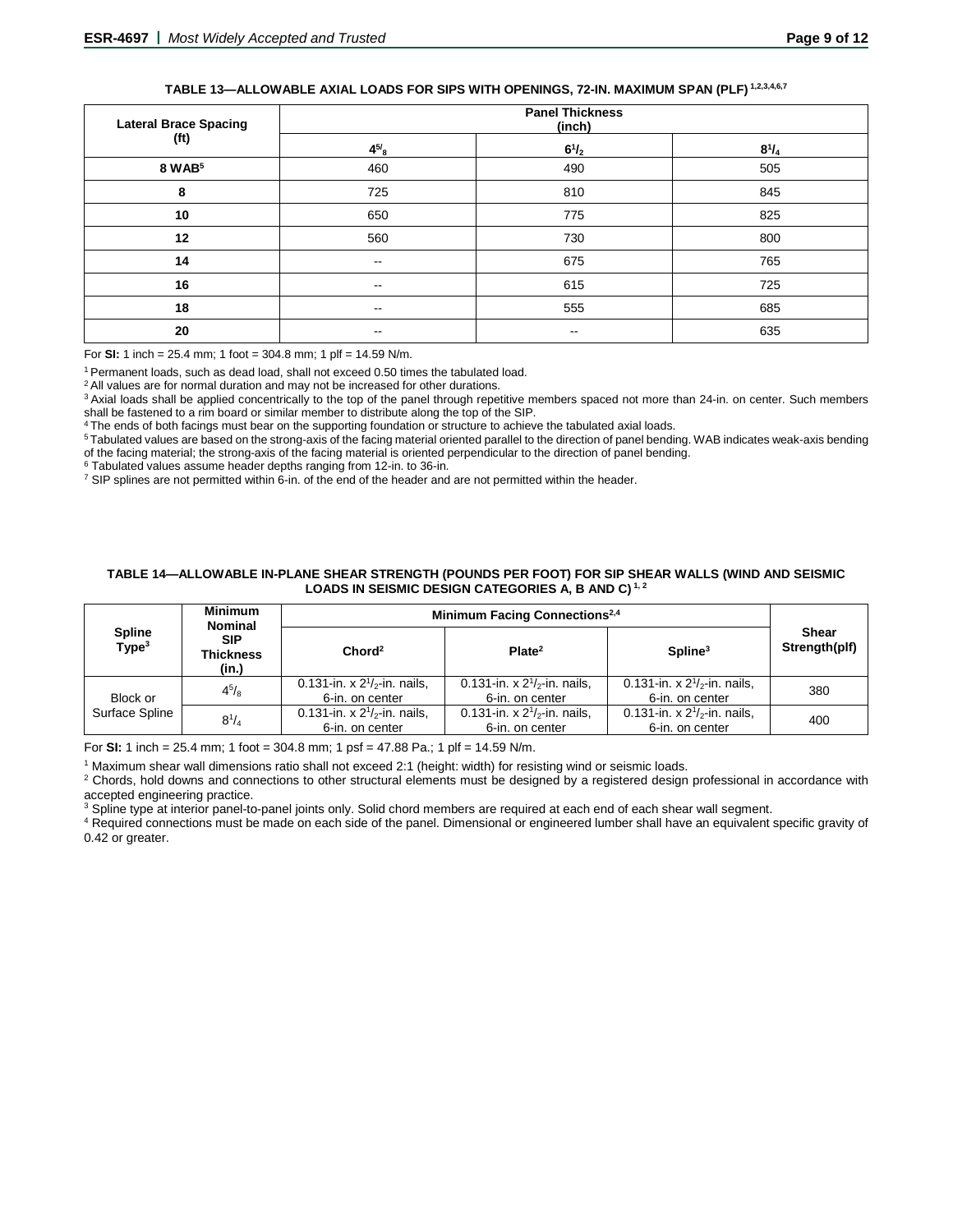# **TABLE 13—ALLOWABLE AXIAL LOADS FOR SIPS WITH OPENINGS, 72-IN. MAXIMUM SPAN (PLF) 1,2,3,4,6,7**

| <b>Lateral Brace Spacing</b> | <b>Panel Thickness</b><br>(inch) |                          |              |  |  |
|------------------------------|----------------------------------|--------------------------|--------------|--|--|
| (ft)                         | $4^{5/8}$                        | $6^{1}/_{2}$             | $8^{1}/_{4}$ |  |  |
| 8 WAB <sup>5</sup>           | 460                              | 490                      | 505          |  |  |
| 8                            | 725                              | 810                      | 845          |  |  |
| 10                           | 650                              | 775                      | 825          |  |  |
| 12                           | 560                              | 730                      | 800          |  |  |
| 14                           | $\sim$ $\sim$                    | 675                      | 765          |  |  |
| 16                           | $- -$                            | 615                      | 725          |  |  |
| 18                           | $\sim$ $\sim$                    | 555                      | 685          |  |  |
| 20                           | --                               | $\overline{\phantom{m}}$ | 635          |  |  |

For **SI:** 1 inch = 25.4 mm; 1 foot = 304.8 mm; 1 plf = 14.59 N/m.

1 Permanent loads, such as dead load, shall not exceed 0.50 times the tabulated load.

<sup>2</sup> All values are for normal duration and may not be increased for other durations.

<sup>3</sup> Axial loads shall be applied concentrically to the top of the panel through repetitive members spaced not more than 24-in. on center. Such members shall be fastened to a rim board or similar member to distribute along the top of the SIP.

The ends of both facings must bear on the supporting foundation or structure to achieve the tabulated axial loads.

5 Tabulated values are based on the strong-axis of the facing material oriented parallel to the direction of panel bending. WAB indicates weak-axis bending of the facing material; the strong-axis of the facing material is oriented perpendicular to the direction of panel bending.<br><sup>6</sup> Tabulated values assume header depths ranging from 12-in. to 36-in.

 $\frac{7}{1}$  SIP splines are not permitted within 6-in. of the end of the header and are not permitted within the header.

#### **TABLE 14—ALLOWABLE IN-PLANE SHEAR STRENGTH (POUNDS PER FOOT) FOR SIP SHEAR WALLS (WIND AND SEISMIC LOADS IN SEISMIC DESIGN CATEGORIES A, B AND C) 1, 2**

|                                    | <b>Minimum</b><br><b>Nominal</b>        | Minimum Facing Connections <sup>2,4</sup>            |                                                      |                                                         |                        |
|------------------------------------|-----------------------------------------|------------------------------------------------------|------------------------------------------------------|---------------------------------------------------------|------------------------|
| <b>Spline</b><br>Type <sup>3</sup> | <b>SIP</b><br><b>Thickness</b><br>(in.) | Chord <sup>2</sup>                                   | Plate <sup>2</sup>                                   | $S$ pline <sup>3</sup>                                  | Shear<br>Strength(plf) |
| Block or                           | $4^{5}/_8$                              | 0.131-in. x $2^{1}/2$ -in. nails,<br>6-in. on center | 0.131-in. x $2^{1}/2$ -in. nails,<br>6-in. on center | 0.131-in. x $2^{1}/_{2}$ -in. nails,<br>6-in. on center | 380                    |
| Surface Spline                     | $8^{1}/_{4}$                            | 0.131-in. x $2^{1/2}$ -in. nails,<br>6-in. on center | 0.131-in. x $2^{1}/2$ -in. nails,<br>6-in. on center | 0.131-in. x $2^{1/2}$ -in. nails,<br>6-in. on center    | 400                    |

For **SI:** 1 inch = 25.4 mm; 1 foot = 304.8 mm; 1 psf = 47.88 Pa.; 1 plf = 14.59 N/m.

<sup>1</sup> Maximum shear wall dimensions ratio shall not exceed 2:1 (height: width) for resisting wind or seismic loads.

<sup>2</sup> Chords, hold downs and connections to other structural elements must be designed by a registered design professional in accordance with accepted engineering practice.

<sup>3</sup> Spline type at interior panel-to-panel joints only. Solid chord members are required at each end of each shear wall segment.

<sup>4</sup> Required connections must be made on each side of the panel. Dimensional or engineered lumber shall have an equivalent specific gravity of 0.42 or greater.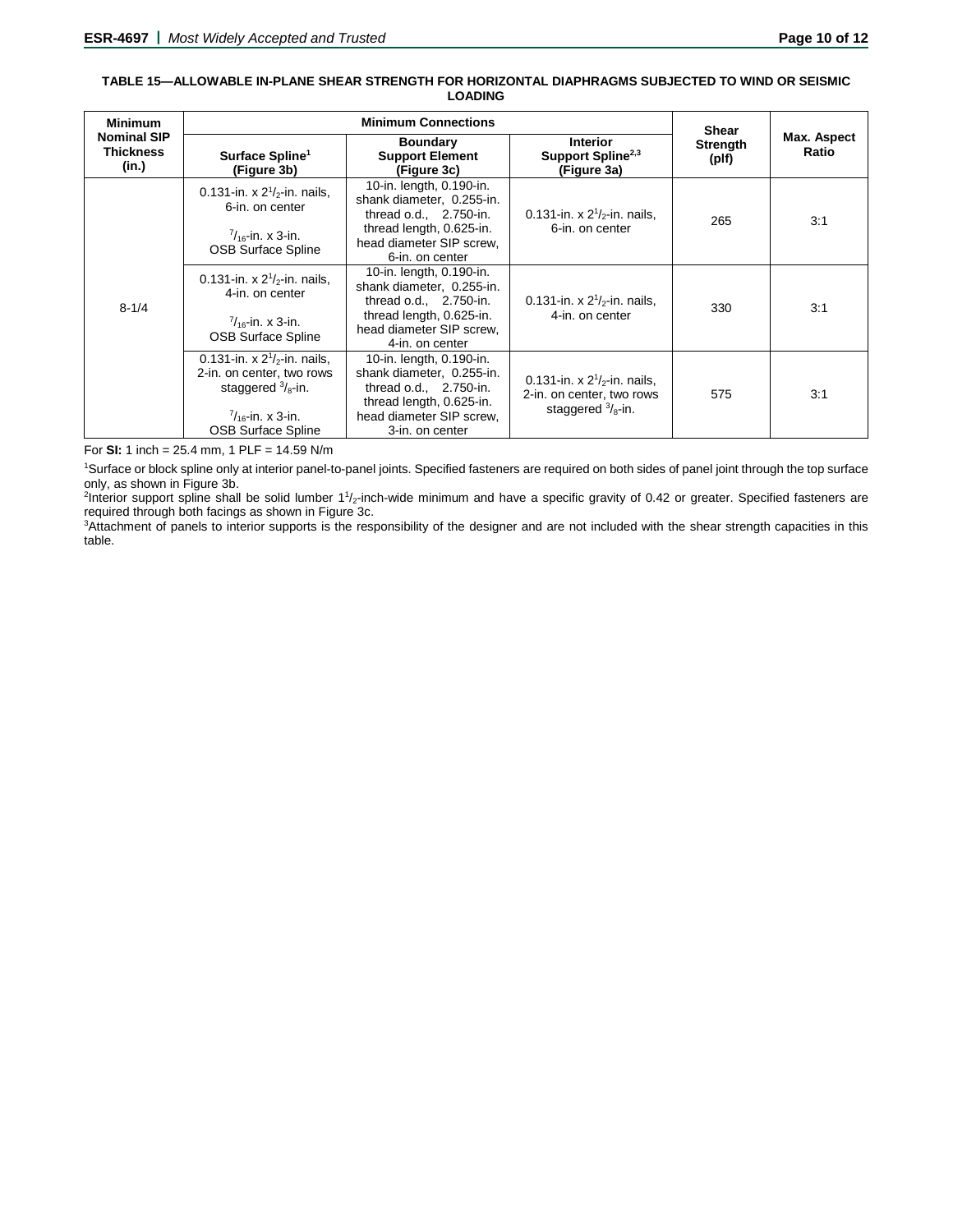#### **TABLE 15—ALLOWABLE IN-PLANE SHEAR STRENGTH FOR HORIZONTAL DIAPHRAGMS SUBJECTED TO WIND OR SEISMIC LOADING**

| <b>Minimum</b>                                  |                                                                                                                                                            | <b>Shear</b>                                                                                                                                                 |                                                                                                |                   |                      |
|-------------------------------------------------|------------------------------------------------------------------------------------------------------------------------------------------------------------|--------------------------------------------------------------------------------------------------------------------------------------------------------------|------------------------------------------------------------------------------------------------|-------------------|----------------------|
| <b>Nominal SIP</b><br><b>Thickness</b><br>(in.) | Surface Spline <sup>1</sup><br>(Figure 3b)                                                                                                                 | <b>Boundary</b><br><b>Support Element</b><br>(Figure 3c)                                                                                                     | <b>Interior</b><br>Support Spline <sup>2,3</sup><br>(Figure 3a)                                | Strength<br>(plf) | Max. Aspect<br>Ratio |
| $8 - 1/4$                                       | 0.131-in. x $2^{1}/2$ -in. nails,<br>6-in. on center<br>$\frac{7}{16}$ -in. x 3-in.<br><b>OSB Surface Spline</b>                                           | 10-in. length, 0.190-in.<br>shank diameter, 0.255-in.<br>thread $o.d., 2.750-in.$<br>thread length, 0.625-in.<br>head diameter SIP screw.<br>6-in. on center | 0.131-in. x $2^{1}/2$ -in. nails,<br>6-in. on center                                           | 265               | 3:1                  |
|                                                 | 0.131-in. x $2^{1}/2$ -in. nails,<br>4-in. on center<br>$\frac{7}{16}$ -in. x 3-in.<br><b>OSB Surface Spline</b>                                           | 10-in. length, 0.190-in.<br>shank diameter, 0.255-in.<br>thread $o.d., 2.750-in.$<br>thread length, 0.625-in.<br>head diameter SIP screw,<br>4-in. on center | 0.131-in. x $2^{1}/2$ -in. nails,<br>4-in. on center                                           | 330               | 3:1                  |
|                                                 | 0.131-in. x $2^{1/2}$ -in. nails.<br>2-in. on center, two rows<br>staggered $\frac{3}{8}$ -in.<br>$\frac{7}{16}$ -in. x 3-in.<br><b>OSB Surface Spline</b> | 10-in. length, 0.190-in.<br>shank diameter, 0.255-in.<br>thread o.d., 2.750-in.<br>thread length, 0.625-in.<br>head diameter SIP screw,<br>3-in. on center   | 0.131-in. x $2^{1}/2$ -in. nails,<br>2-in. on center, two rows<br>staggered $\frac{3}{8}$ -in. | 575               | 3:1                  |

For **SI:** 1 inch = 25.4 mm, 1 PLF = 14.59 N/m

1 Surface or block spline only at interior panel-to-panel joints. Specified fasteners are required on both sides of panel joint through the top surface only, as shown in Figure 3b.

<sup>2</sup>Interior support spline shall be solid lumber 1<sup>1</sup>/<sub>2</sub>-inch-wide minimum and have a specific gravity of 0.42 or greater. Specified fasteners are required through both facings as shown in Figure 3c.

3 Attachment of panels to interior supports is the responsibility of the designer and are not included with the shear strength capacities in this table.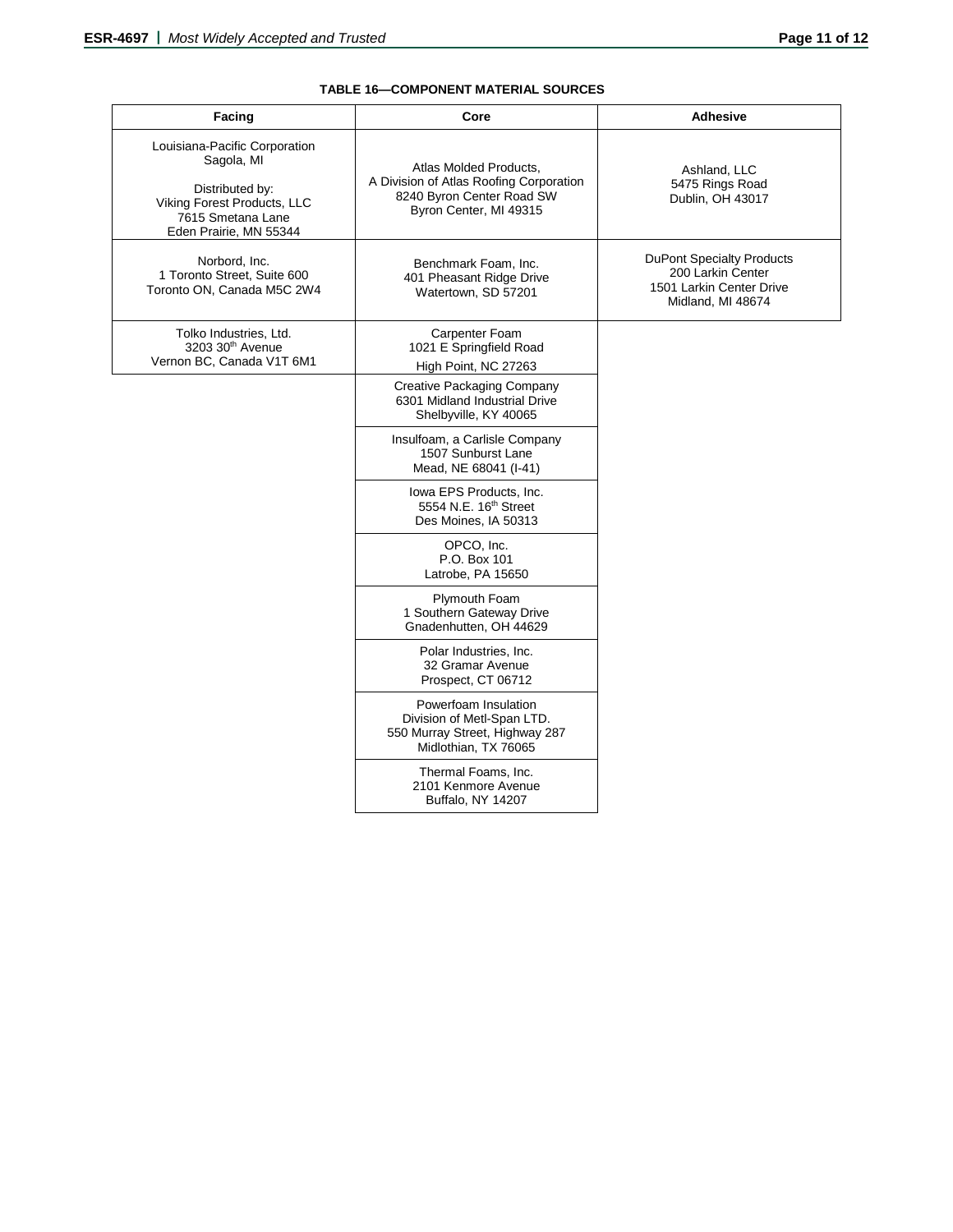# **TABLE 16—COMPONENT MATERIAL SOURCES**

| Facing                                                                                                                                       | Core                                                                                                                     | <b>Adhesive</b>                                                                                        |  |  |
|----------------------------------------------------------------------------------------------------------------------------------------------|--------------------------------------------------------------------------------------------------------------------------|--------------------------------------------------------------------------------------------------------|--|--|
| Louisiana-Pacific Corporation<br>Sagola, MI<br>Distributed by:<br>Viking Forest Products, LLC<br>7615 Smetana Lane<br>Eden Prairie, MN 55344 | Atlas Molded Products,<br>A Division of Atlas Roofing Corporation<br>8240 Byron Center Road SW<br>Byron Center, MI 49315 | Ashland, LLC<br>5475 Rings Road<br>Dublin, OH 43017                                                    |  |  |
| Norbord, Inc.<br>1 Toronto Street, Suite 600<br>Toronto ON. Canada M5C 2W4                                                                   | Benchmark Foam, Inc.<br>401 Pheasant Ridge Drive<br>Watertown, SD 57201                                                  | <b>DuPont Specialty Products</b><br>200 Larkin Center<br>1501 Larkin Center Drive<br>Midland, MI 48674 |  |  |
| Tolko Industries, Ltd.<br>3203 30th Avenue<br>Vernon BC, Canada V1T 6M1                                                                      | Carpenter Foam<br>1021 E Springfield Road<br>High Point, NC 27263                                                        |                                                                                                        |  |  |
|                                                                                                                                              | Creative Packaging Company<br>6301 Midland Industrial Drive<br>Shelbyville, KY 40065                                     |                                                                                                        |  |  |
|                                                                                                                                              | Insulfoam, a Carlisle Company<br>1507 Sunburst Lane<br>Mead, NE 68041 (I-41)                                             |                                                                                                        |  |  |
|                                                                                                                                              | Iowa EPS Products, Inc.<br>5554 N.E. 16 <sup>th</sup> Street<br>Des Moines, IA 50313                                     |                                                                                                        |  |  |
|                                                                                                                                              | OPCO, Inc.<br>P.O. Box 101<br>Latrobe, PA 15650                                                                          |                                                                                                        |  |  |
|                                                                                                                                              | Plymouth Foam<br>1 Southern Gateway Drive<br>Gnadenhutten, OH 44629                                                      |                                                                                                        |  |  |
|                                                                                                                                              | Polar Industries, Inc.<br>32 Gramar Avenue<br>Prospect, CT 06712                                                         |                                                                                                        |  |  |
|                                                                                                                                              | Powerfoam Insulation<br>Division of Metl-Span LTD.<br>550 Murray Street, Highway 287<br>Midlothian, TX 76065             |                                                                                                        |  |  |
|                                                                                                                                              | Thermal Foams, Inc.<br>2101 Kenmore Avenue<br>Buffalo, NY 14207                                                          |                                                                                                        |  |  |